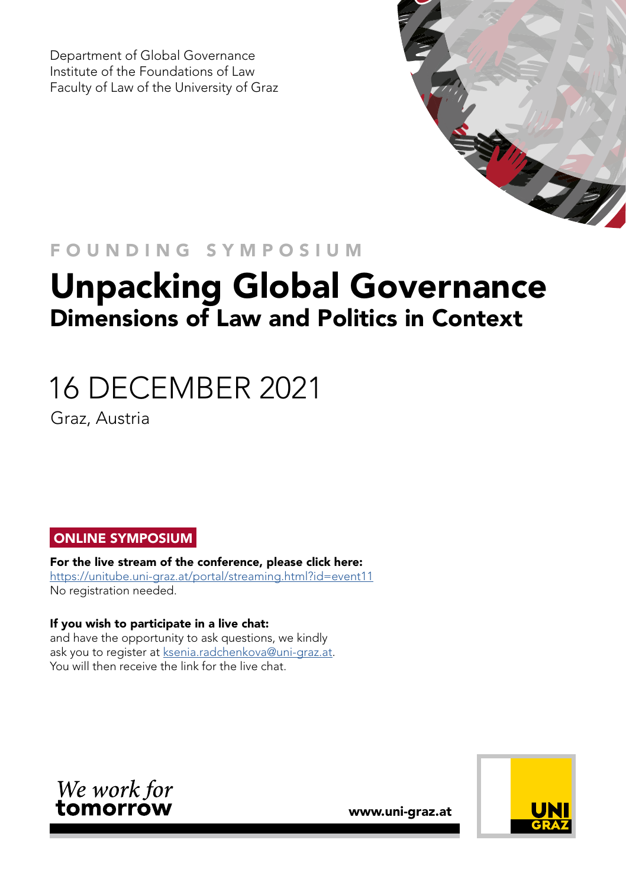Department of Global Governance Institute of the Foundations of Law Faculty of Law of the University of Graz



## FOUNDING SYMPOSIUM

## Unpacking Global Governance Dimensions of Law and Politics in Context

# 16 DECEMBER 2021

Graz, Austria

#### ONLINE SYMPOSIUM

For the live stream of the conference, please click here: <https://unitube.uni-graz.at/portal/streaming.html?id=event11> No registration needed.

#### If you wish to participate in a live chat:

and have the opportunity to ask questions, we kindly ask you to register at [ksenia.radchenkova@uni-graz.at.](mailto:ksenia.radchenkova%40uni-graz.at?subject=Symposium%20-%20Live%20Chat) You will then receive the link for the live chat.



www.uni-graz.at

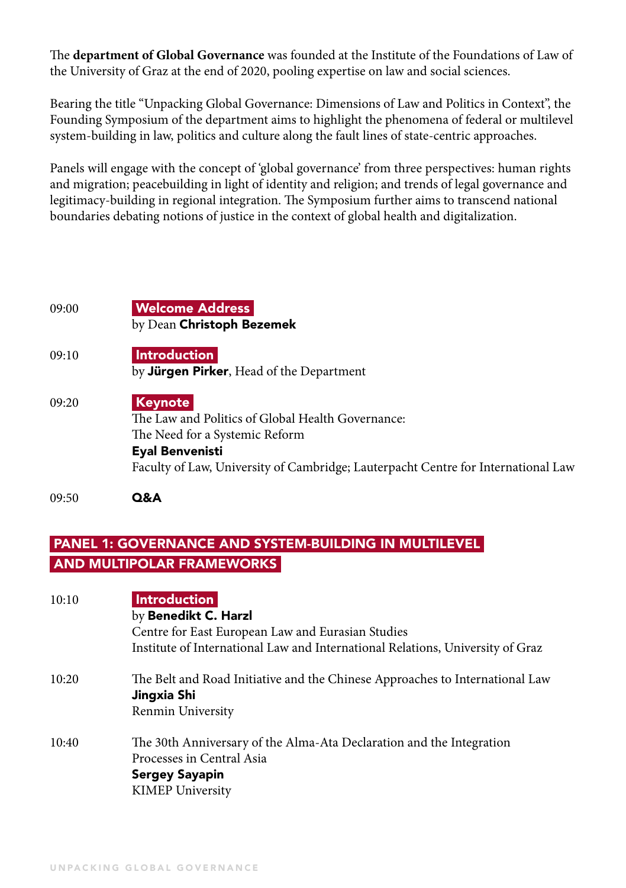The **department of Global Governance** was founded at the Institute of the Foundations of Law of the University of Graz at the end of 2020, pooling expertise on law and social sciences.

Bearing the title "Unpacking Global Governance: Dimensions of Law and Politics in Context", the Founding Symposium of the department aims to highlight the phenomena of federal or multilevel system-building in law, politics and culture along the fault lines of state-centric approaches.

Panels will engage with the concept of 'global governance' from three perspectives: human rights and migration; peacebuilding in light of identity and religion; and trends of legal governance and legitimacy-building in regional integration. The Symposium further aims to transcend national boundaries debating notions of justice in the context of global health and digitalization.

| 09:00 | <b>Welcome Address</b><br>by Dean Christoph Bezemek                                                                                                                                                           |
|-------|---------------------------------------------------------------------------------------------------------------------------------------------------------------------------------------------------------------|
| 09:10 | <b>Introduction</b><br>by <b>Jürgen Pirker</b> , Head of the Department                                                                                                                                       |
| 09:20 | <b>Keynote</b><br>The Law and Politics of Global Health Governance:<br>The Need for a Systemic Reform<br>Eyal Benvenisti<br>Faculty of Law, University of Cambridge; Lauterpacht Centre for International Law |

09:50 Q&A

#### PANEL 1: GOVERNANCE AND SYSTEM-BUILDING IN MULTILEVEL AND MULTIPOLAR FRAMEWORKS

| 10:10 | <b>Introduction</b><br>by Benedikt C. Harzl<br>Centre for East European Law and Eurasian Studies<br>Institute of International Law and International Relations, University of Graz |
|-------|------------------------------------------------------------------------------------------------------------------------------------------------------------------------------------|
| 10:20 | The Belt and Road Initiative and the Chinese Approaches to International Law<br>Jingxia Shi<br>Renmin University                                                                   |
| 10:40 | The 30th Anniversary of the Alma-Ata Declaration and the Integration<br>Processes in Central Asia<br><b>Sergey Sayapin</b><br><b>KIMEP University</b>                              |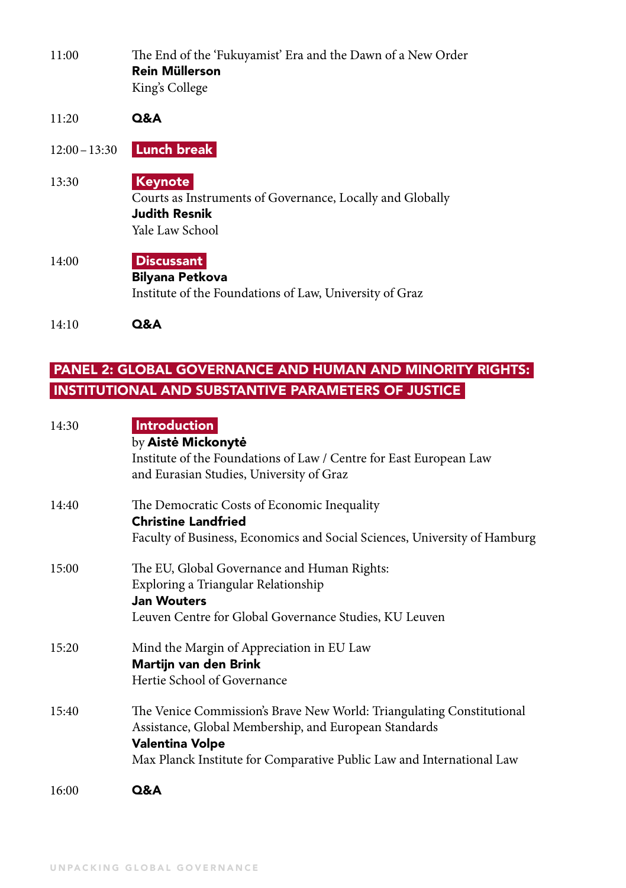- 11:00 The End of the 'Fukuyamist' Era and the Dawn of a New Order Rein Müllerson King's College
- 11:20 Q&A
- 12:00–13:30 Lunch break
- 13:30 Keynote Courts as Instruments of Governance, Locally and Globally Judith Resnik Yale Law School
- 14:00 Discussant Bilyana Petkova Institute of the Foundations of Law, University of Graz
- 14:10 Q&A

#### PANEL 2: GLOBAL GOVERNANCE AND HUMAN AND MINORITY RIGHTS: INSTITUTIONAL AND SUBSTANTIVE PARAMETERS OF JUSTICE

| 14:30 | <b>Introduction</b><br>by Aistė Mickonytė                                 |
|-------|---------------------------------------------------------------------------|
|       | Institute of the Foundations of Law / Centre for East European Law        |
|       | and Eurasian Studies, University of Graz                                  |
| 14:40 | The Democratic Costs of Economic Inequality                               |
|       | <b>Christine Landfried</b>                                                |
|       | Faculty of Business, Economics and Social Sciences, University of Hamburg |
| 15:00 | The EU, Global Governance and Human Rights:                               |
|       | Exploring a Triangular Relationship                                       |
|       | <b>Jan Wouters</b>                                                        |
|       | Leuven Centre for Global Governance Studies, KU Leuven                    |
| 15:20 | Mind the Margin of Appreciation in EU Law                                 |
|       | Martijn van den Brink                                                     |
|       | Hertie School of Governance                                               |
| 15:40 | The Venice Commission's Brave New World: Triangulating Constitutional     |
|       | Assistance, Global Membership, and European Standards                     |
|       | Valentina Volpe                                                           |
|       | Max Planck Institute for Comparative Public Law and International Law     |
| 16:00 | Q&A                                                                       |